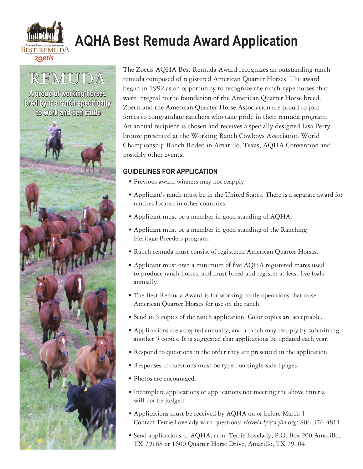

# **AQHA Best Remuda Award Application**

# REMUDA

A group of working horses bred by the ranch specifically to work and pen cattle



The Zoetis AQHA Best Remuda Award recognizes an outstanding ranch remuda composed of registered American Quarter Horses. The award began in 1992 as an opportunity to recognize the ranch-type horses that were integral to the foundation of the American Quarter Horse breed. Zoetis and the American Quarter Horse Association are proud to join forces to congratulate ranchers who take pride in their remuda program. An annual recipient is chosen and receives a specially designed Lisa Perry bronze presented at the Working Ranch Cowboys Association World Championship Ranch Rodeo in Amarillo, Texas, AQHA Convention and possibly other events.

### **GUIDELINES FOR APPLICATION**

- Previous award winners may not reapply.
- Applicant's ranch must be in the United States. There is a separate award for ranches located in other countries.
- Applicant must be a member in good standing of AQHA.
- Applicant must be a member in good standing of the Ranching Heritage Breeders program.
- Ranch remuda must consist of registered American Quarter Horses.
- Applicant must own a minimum of five AQHA registered mares used to produce ranch horses, and must breed and register at least five foals annually.
- The Best Remuda Award is for working cattle operations that raise American Quarter Horses for use on the ranch.
- Send in 5 copies of the ranch application. Color copies are acceptable.
- Applications are accepted annually, and a ranch may reapply by submitting another 5 copies. It is suggested that applications be updated each year.
- Respond to questions in the order they are presented in the application.
- Responses to questions must be typed on single-sided pages.
- Photos are encouraged.
- Incomplete applications or applications not meeting the above criteria will not be judged.
- Applications must be received by AQHA on or before March 1. Contact Terrie Lovelady with questions: tlovelady@aqha.org; 806-376-4811
- Send applications to AQHA, attn: Terrie Lovelady, P.O. Box 200 Amarillo, TX 79168 or 1600 Quarter Horse Drive, Amarillo, TX 79104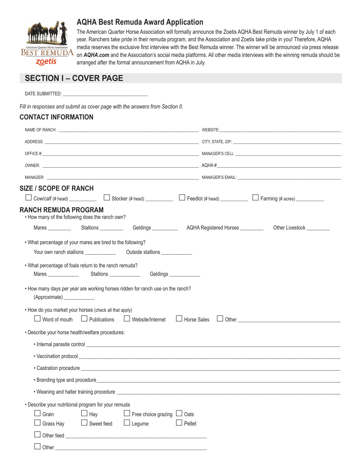

## **AQHA Best Remuda Award Application**

The American Quarter Horse Association will formally announce the Zoetis AQHA Best Remuda winner by July 1 of each year. Ranchers take pride in their remuda program, and the Association and Zoetis take pride in you! Therefore, AQHA media reserves the exclusive first interview with the Best Remuda winner. The winner will be announced via press release on *AQHA.com* and the Association's social media platforms. All other media interviews with the winning remuda should be arranged after the formal announcement from AQHA in July.

## **SECTION I – COVER PAGE**

DATE SUBMITTED:

*Fill in responses and submit as cover page with the answers from Section II.*

#### **CONTACT INFORMATION**

| NAME OF RANCH: University of the contract of the contract of the contract of the contract of the contract of the contract of the contract of the contract of the contract of the contract of the contract of the contract of t                                                                                   |                           |
|------------------------------------------------------------------------------------------------------------------------------------------------------------------------------------------------------------------------------------------------------------------------------------------------------------------|---------------------------|
|                                                                                                                                                                                                                                                                                                                  |                           |
|                                                                                                                                                                                                                                                                                                                  |                           |
|                                                                                                                                                                                                                                                                                                                  |                           |
|                                                                                                                                                                                                                                                                                                                  |                           |
| <b>SIZE / SCOPE OF RANCH</b>                                                                                                                                                                                                                                                                                     |                           |
| Cow/calf (# head) $\Box$ Stocker (# head) $\Box$ Feedlot (# head) $\Box$ Fendlot (# head) $\Box$ Farming (# acres) $\Box$                                                                                                                                                                                        |                           |
| <b>RANCH REMUDA PROGRAM</b><br>• How many of the following does the ranch own?                                                                                                                                                                                                                                   |                           |
| Mares ___________  Stallions ___________  Geldings ___________  AQHA Registered Horses __________                                                                                                                                                                                                                | Other Livestock _________ |
| . What percentage of your mares are bred to the following?                                                                                                                                                                                                                                                       |                           |
|                                                                                                                                                                                                                                                                                                                  |                           |
| . What percentage of foals return to the ranch remuda?<br>Stallions _____________<br>Geldings _____________<br>Mares _______________<br>• How many days per year are working horses ridden for ranch use on the ranch?<br>(Approximate) ______________<br>• How do you market your horses (check all that apply) |                           |
| □ Publications □ Website/Internet<br>$\Box$ Word of mouth<br>□ Horse Sales                                                                                                                                                                                                                                       |                           |
| • Describe your horse health/welfare procedures:                                                                                                                                                                                                                                                                 |                           |
|                                                                                                                                                                                                                                                                                                                  |                           |
|                                                                                                                                                                                                                                                                                                                  |                           |
| • Castration procedure entertainment of the contract of the contract of the contract of the contract of the contract of the contract of the contract of the contract of the contract of the contract of the contract of the co                                                                                   |                           |
|                                                                                                                                                                                                                                                                                                                  |                           |
| . Weaning and halter training procedure ____________                                                                                                                                                                                                                                                             |                           |
| • Describe your nutritional program for your remuda<br>Grain<br>$\Box$ Hay<br>$\Box$ Free choice grazing $\Box$ Oats<br>$\Box$ Sweet feed<br>$\Box$ Pellet<br>$\Box$ Legume<br>Grass Hay                                                                                                                         |                           |